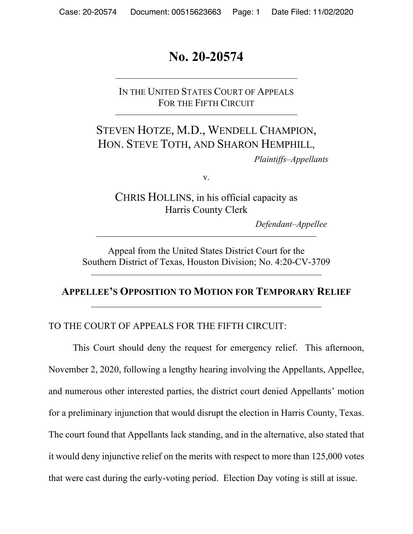# **No. 20-20574**

IN THE UNITED STATES COURT OF APPEALS FOR THE FIFTH CIRCUIT

# STEVEN HOTZE, M.D., WENDELL CHAMPION, HON. STEVE TOTH, AND SHARON HEMPHILL,

*Plaintiffs–Appellants*

v.

CHRIS HOLLINS, in his official capacity as Harris County Clerk

*Defendant–Appellee*

Appeal from the United States District Court for the Southern District of Texas, Houston Division; No. 4:20-CV-3709

### **APPELLEE'S OPPOSITION TO MOTION FOR TEMPORARY RELIEF**

### TO THE COURT OF APPEALS FOR THE FIFTH CIRCUIT:

This Court should deny the request for emergency relief. This afternoon, November 2, 2020, following a lengthy hearing involving the Appellants, Appellee, and numerous other interested parties, the district court denied Appellants' motion for a preliminary injunction that would disrupt the election in Harris County, Texas. The court found that Appellants lack standing, and in the alternative, also stated that it would deny injunctive relief on the merits with respect to more than 125,000 votes that were cast during the early-voting period. Election Day voting is still at issue.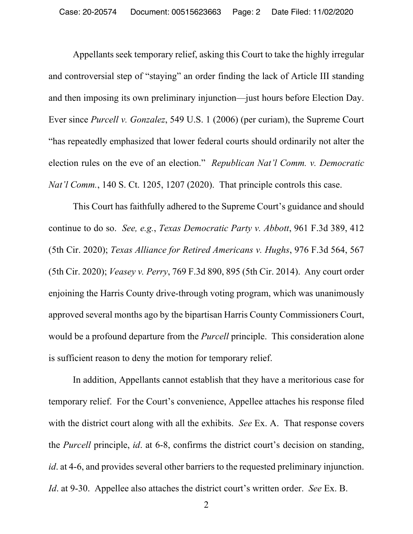Appellants seek temporary relief, asking this Court to take the highly irregular and controversial step of "staying" an order finding the lack of Article III standing and then imposing its own preliminary injunction—just hours before Election Day. Ever since *Purcell v. Gonzalez*, 549 U.S. 1 (2006) (per curiam), the Supreme Court "has repeatedly emphasized that lower federal courts should ordinarily not alter the election rules on the eve of an election." *Republican Nat'l Comm. v. Democratic Nat'l Comm.*, 140 S. Ct. 1205, 1207 (2020). That principle controls this case.

This Court has faithfully adhered to the Supreme Court's guidance and should continue to do so. *See, e.g.*, *Texas Democratic Party v. Abbott*, 961 F.3d 389, 412 (5th Cir. 2020); *Texas Alliance for Retired Americans v. Hughs*, 976 F.3d 564, 567 (5th Cir. 2020); *Veasey v. Perry*, 769 F.3d 890, 895 (5th Cir. 2014). Any court order enjoining the Harris County drive-through voting program, which was unanimously approved several months ago by the bipartisan Harris County Commissioners Court, would be a profound departure from the *Purcell* principle. This consideration alone is sufficient reason to deny the motion for temporary relief.

In addition, Appellants cannot establish that they have a meritorious case for temporary relief. For the Court's convenience, Appellee attaches his response filed with the district court along with all the exhibits. *See* Ex. A. That response covers the *Purcell* principle, *id*. at 6-8, confirms the district court's decision on standing, *id*. at 4-6, and provides several other barriers to the requested preliminary injunction. *Id*. at 9-30. Appellee also attaches the district court's written order. *See* Ex. B.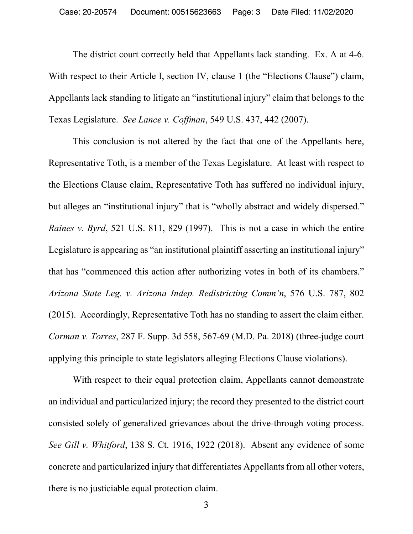The district court correctly held that Appellants lack standing. Ex. A at 4-6. With respect to their Article I, section IV, clause 1 (the "Elections Clause") claim, Appellants lack standing to litigate an "institutional injury" claim that belongs to the Texas Legislature. *See Lance v. Coffman*, 549 U.S. 437, 442 (2007).

This conclusion is not altered by the fact that one of the Appellants here, Representative Toth, is a member of the Texas Legislature. At least with respect to the Elections Clause claim, Representative Toth has suffered no individual injury, but alleges an "institutional injury" that is "wholly abstract and widely dispersed." *Raines v. Byrd*, 521 U.S. 811, 829 (1997). This is not a case in which the entire Legislature is appearing as "an institutional plaintiff asserting an institutional injury" that has "commenced this action after authorizing votes in both of its chambers." *Arizona State Leg. v. Arizona Indep. Redistricting Comm'n*, 576 U.S. 787, 802 (2015). Accordingly, Representative Toth has no standing to assert the claim either. *Corman v. Torres*, 287 F. Supp. 3d 558, 567-69 (M.D. Pa. 2018) (three-judge court applying this principle to state legislators alleging Elections Clause violations).

With respect to their equal protection claim, Appellants cannot demonstrate an individual and particularized injury; the record they presented to the district court consisted solely of generalized grievances about the drive-through voting process. *See Gill v. Whitford*, 138 S. Ct. 1916, 1922 (2018). Absent any evidence of some concrete and particularized injury that differentiates Appellants from all other voters, there is no justiciable equal protection claim.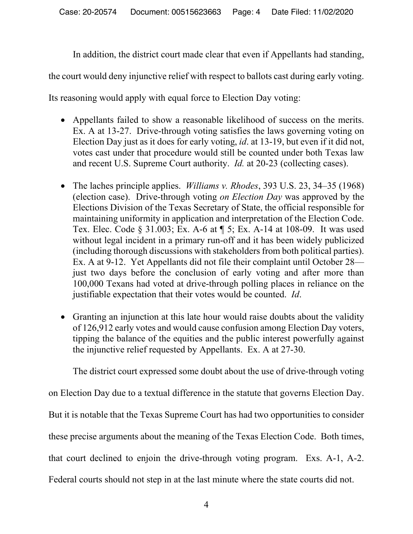In addition, the district court made clear that even if Appellants had standing,

the court would deny injunctive relief with respect to ballots cast during early voting.

Its reasoning would apply with equal force to Election Day voting:

- Appellants failed to show a reasonable likelihood of success on the merits. Ex. A at 13-27. Drive-through voting satisfies the laws governing voting on Election Day just as it does for early voting, *id*. at 13-19, but even if it did not, votes cast under that procedure would still be counted under both Texas law and recent U.S. Supreme Court authority. *Id.* at 20-23 (collecting cases).
- The laches principle applies. *Williams v. Rhodes*, 393 U.S. 23, 34–35 (1968) (election case). Drive-through voting *on Election Day* was approved by the Elections Division of the Texas Secretary of State, the official responsible for maintaining uniformity in application and interpretation of the Election Code. Tex. Elec. Code § 31.003; Ex. A-6 at ¶ 5; Ex. A-14 at 108-09. It was used without legal incident in a primary run-off and it has been widely publicized (including thorough discussions with stakeholders from both political parties). Ex. A at 9-12. Yet Appellants did not file their complaint until October 28 just two days before the conclusion of early voting and after more than 100,000 Texans had voted at drive-through polling places in reliance on the justifiable expectation that their votes would be counted. *Id*.
- Granting an injunction at this late hour would raise doubts about the validity of 126,912 early votes and would cause confusion among Election Day voters, tipping the balance of the equities and the public interest powerfully against the injunctive relief requested by Appellants. Ex. A at 27-30.

The district court expressed some doubt about the use of drive-through voting

on Election Day due to a textual difference in the statute that governs Election Day.

But it is notable that the Texas Supreme Court has had two opportunities to consider

these precise arguments about the meaning of the Texas Election Code. Both times,

that court declined to enjoin the drive-through voting program. Exs. A-1, A-2.

Federal courts should not step in at the last minute where the state courts did not.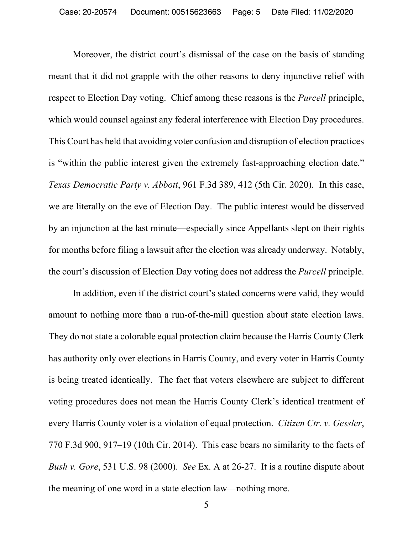Moreover, the district court's dismissal of the case on the basis of standing meant that it did not grapple with the other reasons to deny injunctive relief with respect to Election Day voting. Chief among these reasons is the *Purcell* principle, which would counsel against any federal interference with Election Day procedures. This Court has held that avoiding voter confusion and disruption of election practices is "within the public interest given the extremely fast-approaching election date." *Texas Democratic Party v. Abbott*, 961 F.3d 389, 412 (5th Cir. 2020). In this case, we are literally on the eve of Election Day. The public interest would be disserved by an injunction at the last minute—especially since Appellants slept on their rights for months before filing a lawsuit after the election was already underway. Notably, the court's discussion of Election Day voting does not address the *Purcell* principle.

In addition, even if the district court's stated concerns were valid, they would amount to nothing more than a run-of-the-mill question about state election laws. They do not state a colorable equal protection claim because the Harris County Clerk has authority only over elections in Harris County, and every voter in Harris County is being treated identically. The fact that voters elsewhere are subject to different voting procedures does not mean the Harris County Clerk's identical treatment of every Harris County voter is a violation of equal protection. *Citizen Ctr. v. Gessler*, 770 F.3d 900, 917–19 (10th Cir. 2014). This case bears no similarity to the facts of *Bush v. Gore*, 531 U.S. 98 (2000). *See* Ex. A at 26-27. It is a routine dispute about the meaning of one word in a state election law—nothing more.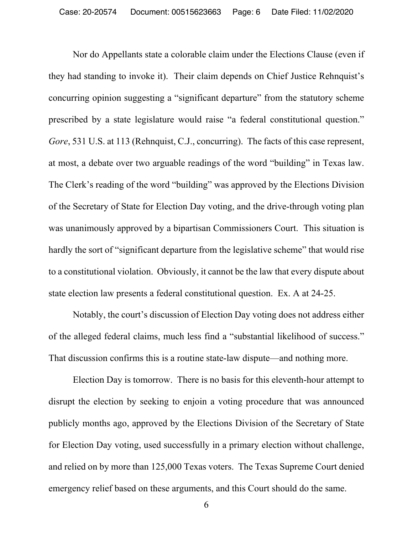Nor do Appellants state a colorable claim under the Elections Clause (even if they had standing to invoke it). Their claim depends on Chief Justice Rehnquist's concurring opinion suggesting a "significant departure" from the statutory scheme prescribed by a state legislature would raise "a federal constitutional question." *Gore*, 531 U.S. at 113 (Rehnquist, C.J., concurring). The facts of this case represent, at most, a debate over two arguable readings of the word "building" in Texas law. The Clerk's reading of the word "building" was approved by the Elections Division of the Secretary of State for Election Day voting, and the drive-through voting plan was unanimously approved by a bipartisan Commissioners Court. This situation is hardly the sort of "significant departure from the legislative scheme" that would rise to a constitutional violation. Obviously, it cannot be the law that every dispute about state election law presents a federal constitutional question. Ex. A at 24-25.

Notably, the court's discussion of Election Day voting does not address either of the alleged federal claims, much less find a "substantial likelihood of success." That discussion confirms this is a routine state-law dispute—and nothing more.

Election Day is tomorrow. There is no basis for this eleventh-hour attempt to disrupt the election by seeking to enjoin a voting procedure that was announced publicly months ago, approved by the Elections Division of the Secretary of State for Election Day voting, used successfully in a primary election without challenge, and relied on by more than 125,000 Texas voters. The Texas Supreme Court denied emergency relief based on these arguments, and this Court should do the same.